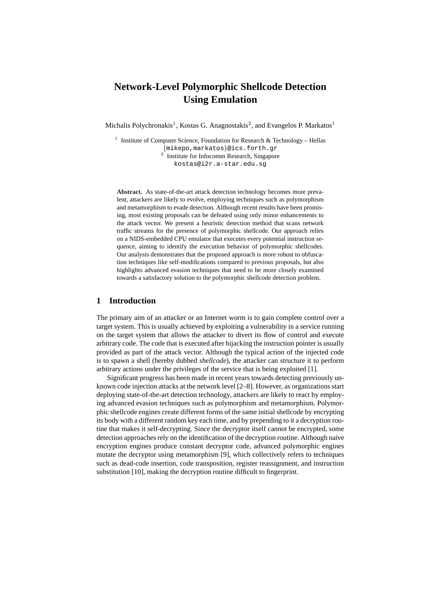# **Network-Level Polymorphic Shellcode Detection Using Emulation**

Michalis Polychronakis<sup>1</sup>, Kostas G. Anagnostakis<sup>2</sup>, and Evangelos P. Markatos<sup>1</sup>

<sup>1</sup> Institute of Computer Science, Foundation for Research & Technology - Hellas {mikepo,markatos}@ics.forth.gr 2 Institute for Infocomm Research, Singapore kostas@i2r.a-star.edu.sg

**Abstract.** As state-of-the-art attack detection technology becomes more prevalent, attackers are likely to evolve, employing techniques such as polymorphism and metamorphism to evade detection. Although recent results have been promising, most existing proposals can be defeated using only minor enhancements to the attack vector. We present a heuristic detection method that scans network traffic streams for the presence of polymorphic shellcode. Our approach relies on a NIDS-embedded CPU emulator that executes every potential instruction sequence, aiming to identify the execution behavior of polymorphic shellcodes. Our analysis demonstrates that the proposed approach is more robust to obfuscation techniques like self-modifications compared to previous proposals, but also highlights advanced evasion techniques that need to be more closely examined towards a satisfactory solution to the polymorphic shellcode detection problem.

## **1 Introduction**

The primary aim of an attacker or an Internet worm is to gain complete control over a target system. This is usually achieved by exploiting a vulnerability in a service running on the target system that allows the attacker to divert its flow of control and execute arbitrary code. The code that is executed after hijacking the instruction pointer is usually provided as part of the attack vector. Although the typical action of the injected code is to spawn a shell (hereby dubbed *shellcode*), the attacker can structure it to perform arbitrary actions under the privileges of the service that is being exploited [1].

Significant progress has been made in recent years towards detecting previously unknown code injection attacks at the network level [2–8]. However, as organizations start deploying state-of-the-art detection technology, attackers are likely to react by employing advanced evasion techniques such as polymorphism and metamorphism. Polymorphic shellcode engines create different forms of the same initial shellcode by encrypting its body with a different random key each time, and by prepending to it a decryption routine that makes it self-decrypting. Since the decryptor itself cannot be encrypted, some detection approaches rely on the identification of the decryption routine. Although naive encryption engines produce constant decryptor code, advanced polymorphic engines mutate the decryptor using metamorphism [9], which collectively refers to techniques such as dead-code insertion, code transposition, register reassignment, and instruction substitution [10], making the decryption routine difficult to fingerprint.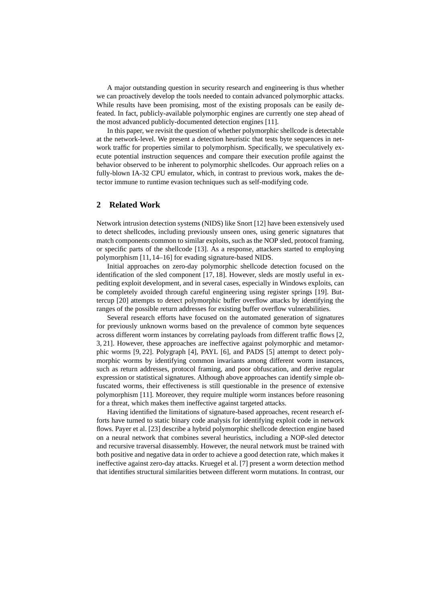A major outstanding question in security research and engineering is thus whether we can proactively develop the tools needed to contain advanced polymorphic attacks. While results have been promising, most of the existing proposals can be easily defeated. In fact, publicly-available polymorphic engines are currently one step ahead of the most advanced publicly-documented detection engines [11].

In this paper, we revisit the question of whether polymorphic shellcode is detectable at the network-level. We present a detection heuristic that tests byte sequences in network traffic for properties similar to polymorphism. Specifically, we speculatively execute potential instruction sequences and compare their execution profile against the behavior observed to be inherent to polymorphic shellcodes. Our approach relies on a fully-blown IA-32 CPU emulator, which, in contrast to previous work, makes the detector immune to runtime evasion techniques such as self-modifying code.

## **2 Related Work**

Network intrusion detection systems (NIDS) like Snort [12] have been extensively used to detect shellcodes, including previously unseen ones, using generic signatures that match components common to similar exploits, such as the NOP sled, protocol framing, or specific parts of the shellcode [13]. As a response, attackers started to employing polymorphism [11, 14–16] for evading signature-based NIDS.

Initial approaches on zero-day polymorphic shellcode detection focused on the identification of the sled component [17, 18]. However, sleds are mostly useful in expediting exploit development, and in several cases, especially in Windows exploits, can be completely avoided through careful engineering using register springs [19]. Buttercup [20] attempts to detect polymorphic buffer overflow attacks by identifying the ranges of the possible return addresses for existing buffer overflow vulnerabilities.

Several research efforts have focused on the automated generation of signatures for previously unknown worms based on the prevalence of common byte sequences across different worm instances by correlating payloads from different traffic flows [2, 3, 21]. However, these approaches are ineffective against polymorphic and metamorphic worms [9, 22]. Polygraph [4], PAYL [6], and PADS [5] attempt to detect polymorphic worms by identifying common invariants among different worm instances, such as return addresses, protocol framing, and poor obfuscation, and derive regular expression or statistical signatures. Although above approaches can identify simple obfuscated worms, their effectiveness is still questionable in the presence of extensive polymorphism [11]. Moreover, they require multiple worm instances before reasoning for a threat, which makes them ineffective against targeted attacks.

Having identified the limitations of signature-based approaches, recent research efforts have turned to static binary code analysis for identifying exploit code in network flows. Payer et al. [23] describe a hybrid polymorphic shellcode detection engine based on a neural network that combines several heuristics, including a NOP-sled detector and recursive traversal disassembly. However, the neural network must be trained with both positive and negative data in order to achieve a good detection rate, which makes it ineffective against zero-day attacks. Kruegel et al. [7] present a worm detection method that identifies structural similarities between different worm mutations. In contrast, our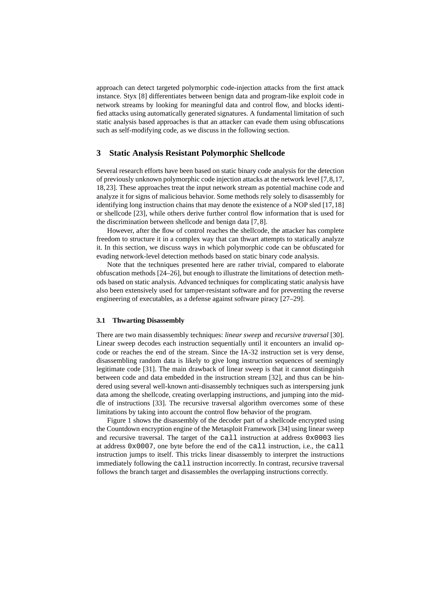approach can detect targeted polymorphic code-injection attacks from the first attack instance. Styx [8] differentiates between benign data and program-like exploit code in network streams by looking for meaningful data and control flow, and blocks identified attacks using automatically generated signatures. A fundamental limitation of such static analysis based approaches is that an attacker can evade them using obfuscations such as self-modifying code, as we discuss in the following section.

# **3 Static Analysis Resistant Polymorphic Shellcode**

Several research efforts have been based on static binary code analysis for the detection of previously unknown polymorphic code injection attacks at the network level [7,8,17, 18,23]. These approaches treat the input network stream as potential machine code and analyze it for signs of malicious behavior. Some methods rely solely to disassembly for identifying long instruction chains that may denote the existence of a NOP sled [17,18] or shellcode [23], while others derive further control flow information that is used for the discrimination between shellcode and benign data [7, 8].

However, after the flow of control reaches the shellcode, the attacker has complete freedom to structure it in a complex way that can thwart attempts to statically analyze it. In this section, we discuss ways in which polymorphic code can be obfuscated for evading network-level detection methods based on static binary code analysis.

Note that the techniques presented here are rather trivial, compared to elaborate obfuscation methods [24–26], but enough to illustrate the limitations of detection methods based on static analysis. Advanced techniques for complicating static analysis have also been extensively used for tamper-resistant software and for preventing the reverse engineering of executables, as a defense against software piracy [27–29].

#### **3.1 Thwarting Disassembly**

There are two main disassembly techniques: *linear sweep* and *recursive traversal* [30]. Linear sweep decodes each instruction sequentially until it encounters an invalid opcode or reaches the end of the stream. Since the IA-32 instruction set is very dense, disassembling random data is likely to give long instruction sequences of seemingly legitimate code [31]. The main drawback of linear sweep is that it cannot distinguish between code and data embedded in the instruction stream [32], and thus can be hindered using several well-known anti-disassembly techniques such as interspersing junk data among the shellcode, creating overlapping instructions, and jumping into the middle of instructions [33]. The recursive traversal algorithm overcomes some of these limitations by taking into account the control flow behavior of the program.

Figure 1 shows the disassembly of the decoder part of a shellcode encrypted using the Countdown encryption engine of the Metasploit Framework [34] using linear sweep and recursive traversal. The target of the call instruction at address  $0 \times 0003$  lies at address 0x0007, one byte before the end of the call instruction, i.e., the call instruction jumps to itself. This tricks linear disassembly to interpret the instructions immediately following the call instruction incorrectly. In contrast, recursive traversal follows the branch target and disassembles the overlapping instructions correctly.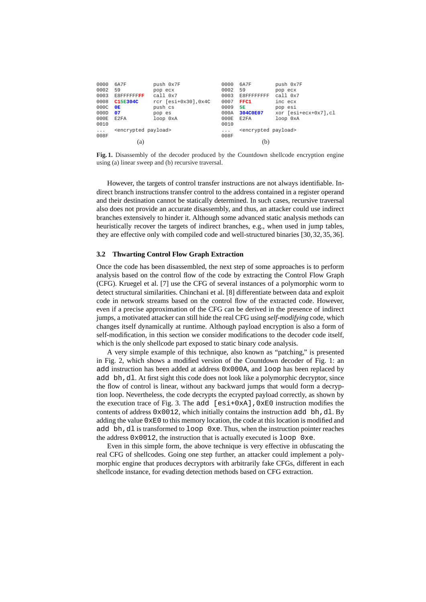| 6A7F                                                       | push 0x7F              | 0000     | 6A7F                               | push 0x7F            |
|------------------------------------------------------------|------------------------|----------|------------------------------------|----------------------|
| 59                                                         | pop ecx                | 0002     | 59                                 | pop ecx              |
| E8FFFFFFFFF                                                | call 0x7               | 0003     | E8FFFFFFFFF                        | $ca11$ $0x7$         |
| <b>C15E304C</b>                                            | $rcr$ [esi+0x30], 0x4C | 0007     | FFC1                               | inc ecx              |
| 0E                                                         | push cs                | 0009     | 5E                                 | pop esi              |
| 07                                                         | pop es                 | 000A     | 304C0E07                           | xor [esi+ecx+0x7],cl |
| E2FA                                                       | loop 0xA               | 000E     | E2FA                               | loop 0xA             |
|                                                            |                        | 0010     |                                    |                      |
| <encrypted payload=""><br/><math>\cdots</math></encrypted> |                        | $\cdots$ | <encrypted payload=""></encrypted> |                      |
|                                                            |                        | 008F     |                                    |                      |
| (a)                                                        |                        |          | (b)                                |                      |
|                                                            |                        |          |                                    |                      |

**Fig. 1.** Disassembly of the decoder produced by the Countdown shellcode encryption engine using (a) linear sweep and (b) recursive traversal.

However, the targets of control transfer instructions are not always identifiable. Indirect branch instructions transfer control to the address contained in a register operand and their destination cannot be statically determined. In such cases, recursive traversal also does not provide an accurate disassembly, and thus, an attacker could use indirect branches extensively to hinder it. Although some advanced static analysis methods can heuristically recover the targets of indirect branches, e.g., when used in jump tables, they are effective only with compiled code and well-structured binaries [30, 32, 35, 36].

#### **3.2 Thwarting Control Flow Graph Extraction**

Once the code has been disassembled, the next step of some approaches is to perform analysis based on the control flow of the code by extracting the Control Flow Graph (CFG). Kruegel et al. [7] use the CFG of several instances of a polymorphic worm to detect structural similarities. Chinchani et al. [8] differentiate between data and exploit code in network streams based on the control flow of the extracted code. However, even if a precise approximation of the CFG can be derived in the presence of indirect jumps, a motivated attacker can still hide the real CFG using *self-modifying* code, which changes itself dynamically at runtime. Although payload encryption is also a form of self-modification, in this section we consider modifications to the decoder code itself, which is the only shellcode part exposed to static binary code analysis.

A very simple example of this technique, also known as "patching," is presented in Fig. 2, which shows a modified version of the Countdown decoder of Fig. 1: an add instruction has been added at address  $0 \times 0000$ A, and  $1 \circ \circ \circ$  has been replaced by add bh, dl. At first sight this code does not look like a polymorphic decryptor, since the flow of control is linear, without any backward jumps that would form a decryption loop. Nevertheless, the code decrypts the ecrypted payload correctly, as shown by the execution trace of Fig. 3. The add  $[esi+0xA]$ ,  $0xE0$  instruction modifies the contents of address  $0 \times 0012$ , which initially contains the instruction add bh,dl. By adding the value  $0 \times E0$  to this memory location, the code at this location is modified and add bh,dl is transformed to loop 0xe. Thus, when the instruction pointer reaches the address  $0 \times 0012$ , the instruction that is actually executed is loop  $0 \times e$ .

Even in this simple form, the above technique is very effective in obfuscating the real CFG of shellcodes. Going one step further, an attacker could implement a polymorphic engine that produces decryptors with arbitrarily fake CFGs, different in each shellcode instance, for evading detection methods based on CFG extraction.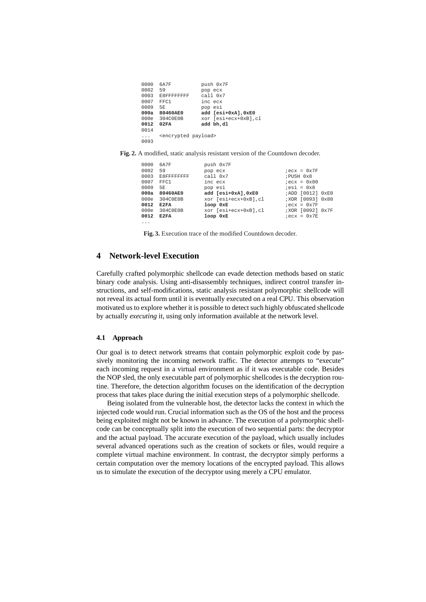| 0000 | <b>6A7F</b>                        | push 0x7F            |
|------|------------------------------------|----------------------|
| 0002 | 59                                 | pop ecx              |
| 0003 | E8FFFFFFFFF                        | cail 0x7             |
| 0007 | FFC1                               | inc ecx              |
| 0009 | 5E                                 | pop esi              |
| 000a | 80460AE0                           | add [esi+0xA],0xE0   |
| 000e | 304C0E0B                           | xor [esi+ecx+0xB].cl |
| 0012 | 02FA                               | add bh.dl            |
| 0014 |                                    |                      |
| .    | <encrypted payload=""></encrypted> |                      |
| 0093 |                                    |                      |

**Fig. 2.** A modified, static analysis resistant version of the Countdown decoder.

| 0000 | 6A7F          | push 0x7F            |                         |
|------|---------------|----------------------|-------------------------|
| 0002 | 59            | pop ecx              | $i$ ecx = $0x7F$        |
| 0003 | E8FFFFFFFFF   | $ca11$ $0x7$         | ;PUSH 0x8               |
| 0007 | FFC1          | inc ecx              | $i$ ecx = $0 \times 80$ |
| 0009 | 5E            | pop esi              | $i$ esi = $0x8$         |
| 000a | 80460AE0      | add [esi+0xA],0xE0   | ;ADD [0012] 0xE0        |
|      | 000e 304C0E0B | xor [esi+ecx+0xB].cl | XOR [0093] 0x80;        |
| 0012 | E2FA          | loop 0xE             | $i$ ecx = $0x7F$        |
| 000e | 304C0E0B      | xor [esi+ecx+0xB].cl | ;XOR [0092] 0x7F        |
| 0012 | E2FA          | loop 0xE             | $i$ ecx = $0x7E$        |
| .    |               |                      |                         |

**Fig. 3.** Execution trace of the modified Countdown decoder.

# **4 Network-level Execution**

Carefully crafted polymorphic shellcode can evade detection methods based on static binary code analysis. Using anti-disassembly techniques, indirect control transfer instructions, and self-modifications, static analysis resistant polymorphic shellcode will not reveal its actual form until it is eventually executed on a real CPU. This observation motivated us to explore whether it is possible to detect such highly obfuscated shellcode by actually *executing* it, using only information available at the network level.

#### **4.1 Approach**

Our goal is to detect network streams that contain polymorphic exploit code by passively monitoring the incoming network traffic. The detector attempts to "execute" each incoming request in a virtual environment as if it was executable code. Besides the NOP sled, the only executable part of polymorphic shellcodes is the decryption routine. Therefore, the detection algorithm focuses on the identification of the decryption process that takes place during the initial execution steps of a polymorphic shellcode.

Being isolated from the vulnerable host, the detector lacks the context in which the injected code would run. Crucial information such as the OS of the host and the process being exploited might not be known in advance. The execution of a polymorphic shellcode can be conceptually split into the execution of two sequential parts: the decryptor and the actual payload. The accurate execution of the payload, which usually includes several advanced operations such as the creation of sockets or files, would require a complete virtual machine environment. In contrast, the decryptor simply performs a certain computation over the memory locations of the encrypted payload. This allows us to simulate the execution of the decryptor using merely a CPU emulator.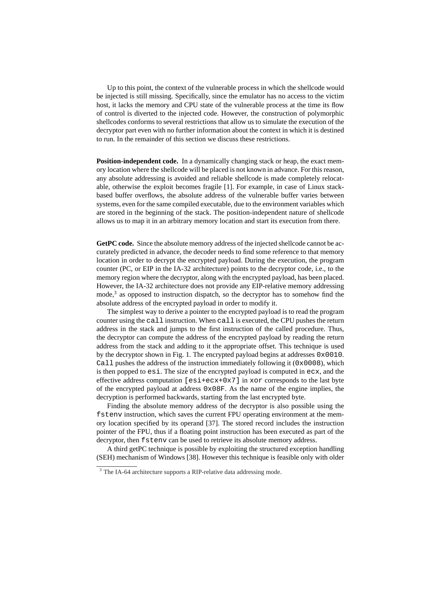Up to this point, the context of the vulnerable process in which the shellcode would be injected is still missing. Specifically, since the emulator has no access to the victim host, it lacks the memory and CPU state of the vulnerable process at the time its flow of control is diverted to the injected code. However, the construction of polymorphic shellcodes conforms to several restrictions that allow us to simulate the execution of the decryptor part even with no further information about the context in which it is destined to run. In the remainder of this section we discuss these restrictions.

**Position-independent code.** In a dynamically changing stack or heap, the exact memory location where the shellcode will be placed is not known in advance. For this reason, any absolute addressing is avoided and reliable shellcode is made completely relocatable, otherwise the exploit becomes fragile [1]. For example, in case of Linux stackbased buffer overflows, the absolute address of the vulnerable buffer varies between systems, even for the same compiled executable, due to the environment variables which are stored in the beginning of the stack. The position-independent nature of shellcode allows us to map it in an arbitrary memory location and start its execution from there.

**GetPC code.** Since the absolute memory address of the injected shellcode cannot be accurately predicted in advance, the decoder needs to find some reference to that memory location in order to decrypt the encrypted payload. During the execution, the program counter (PC, or EIP in the IA-32 architecture) points to the decryptor code, i.e., to the memory region where the decryptor, along with the encrypted payload, has been placed. However, the IA-32 architecture does not provide any EIP-relative memory addressing mode,<sup>3</sup> as opposed to instruction dispatch, so the decryptor has to somehow find the absolute address of the encrypted payload in order to modify it.

The simplest way to derive a pointer to the encrypted payload is to read the program counter using the call instruction. When call is executed, the CPU pushes the return address in the stack and jumps to the first instruction of the called procedure. Thus, the decryptor can compute the address of the encrypted payload by reading the return address from the stack and adding to it the appropriate offset. This technique is used by the decryptor shown in Fig. 1. The encrypted payload begins at addresses 0x0010. Call pushes the address of the instruction immediately following it  $(0x0008)$ , which is then popped to esi. The size of the encrypted payload is computed in ecx, and the effective address computation  $[esi+ecx+0x7]$  in xor corresponds to the last byte of the encrypted payload at address  $0 \times 08$  F. As the name of the engine implies, the decryption is performed backwards, starting from the last encrypted byte.

Finding the absolute memory address of the decryptor is also possible using the fstenv instruction, which saves the current FPU operating environment at the memory location specified by its operand [37]. The stored record includes the instruction pointer of the FPU, thus if a floating point instruction has been executed as part of the decryptor, then fstenv can be used to retrieve its absolute memory address.

A third getPC technique is possible by exploiting the structured exception handling (SEH) mechanism of Windows [38]. However this technique is feasible only with older

<sup>&</sup>lt;sup>3</sup> The IA-64 architecture supports a RIP-relative data addressing mode.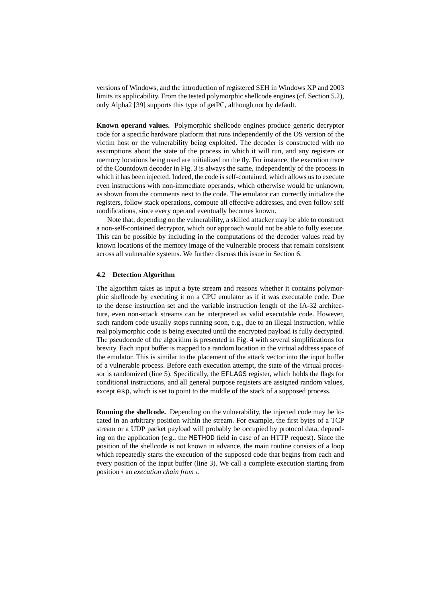versions of Windows, and the introduction of registered SEH in Windows XP and 2003 limits its applicability. From the tested polymorphic shellcode engines (cf. Section 5.2), only Alpha2 [39] supports this type of getPC, although not by default.

**Known operand values.** Polymorphic shellcode engines produce generic decryptor code for a specific hardware platform that runs independently of the OS version of the victim host or the vulnerability being exploited. The decoder is constructed with no assumptions about the state of the process in which it will run, and any registers or memory locations being used are initialized on the fly. For instance, the execution trace of the Countdown decoder in Fig. 3 is always the same, independently of the process in which it has been injected. Indeed, the code is self-contained, which allows us to execute even instructions with non-immediate operands, which otherwise would be unknown, as shown from the comments next to the code. The emulator can correctly initialize the registers, follow stack operations, compute all effective addresses, and even follow self modifications, since every operand eventually becomes known.

Note that, depending on the vulnerability, a skilled attacker may be able to construct a non-self-contained decryptor, which our approach would not be able to fully execute. This can be possible by including in the computations of the decoder values read by known locations of the memory image of the vulnerable process that remain consistent across all vulnerable systems. We further discuss this issue in Section 6.

#### **4.2 Detection Algorithm**

The algorithm takes as input a byte stream and reasons whether it contains polymorphic shellcode by executing it on a CPU emulator as if it was executable code. Due to the dense instruction set and the variable instruction length of the IA-32 architecture, even non-attack streams can be interpreted as valid executable code. However, such random code usually stops running soon, e.g., due to an illegal instruction, while real polymorphic code is being executed until the encrypted payload is fully decrypted. The pseudocode of the algorithm is presented in Fig. 4 with several simplifications for brevity. Each input buffer is mapped to a random location in the virtual address space of the emulator. This is similar to the placement of the attack vector into the input buffer of a vulnerable process. Before each execution attempt, the state of the virtual processor is randomized (line 5). Specifically, the EFLAGS register, which holds the flags for conditional instructions, and all general purpose registers are assigned random values, except esp, which is set to point to the middle of the stack of a supposed process.

**Running the shellcode.** Depending on the vulnerability, the injected code may be located in an arbitrary position within the stream. For example, the first bytes of a TCP stream or a UDP packet payload will probably be occupied by protocol data, depending on the application (e.g., the METHOD field in case of an HTTP request). Since the position of the shellcode is not known in advance, the main routine consists of a loop which repeatedly starts the execution of the supposed code that begins from each and every position of the input buffer (line 3). We call a complete execution starting from position i an *execution chain from* i.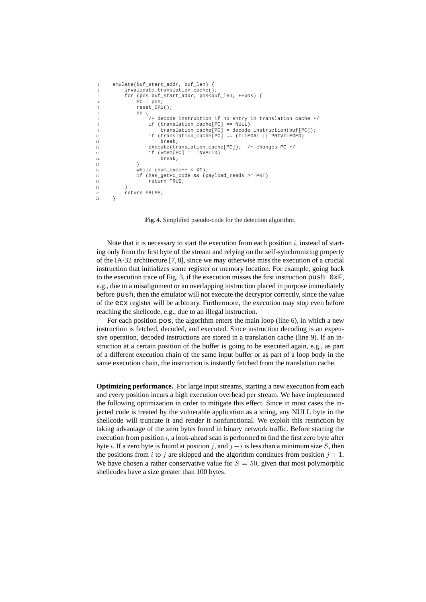|              | $emulate(buf\_start\_addr, but\_len)$ {                      |
|--------------|--------------------------------------------------------------|
| 2            | invalidate translation cache();                              |
| 3            | for (pos=buf start addr; pos<br>sbuf len; ++pos) {           |
| 4            | $PC = posi$                                                  |
| 5            | reset CPU();                                                 |
| 6            | do {                                                         |
|              | /* decode instruction if no entry in translation cache */    |
| 8            | if (translation cache $PC$ ] == $NULL$ )                     |
| $\mathbf{Q}$ | translation_cache[ $PC$ ] = decode_instruction( $buf[PC]$ ); |
| 10           | if (translation cache[PC] == $(ILLEGAL    PRIVILEGED)$       |
| 11           | break;                                                       |
| 12           | execute(translation cache[PC]); /* changes PC */             |
| 13           | if $(\text{vmem} [PC] == INVALID)$                           |
| 14           | break;                                                       |
| 15           |                                                              |
| 16           | while (num exec++ < $XT$ );                                  |
| 17           | if (has_getPC_code && (payload_reads >= PRT)                 |
| 18           | return TRUE;                                                 |
| 19           |                                                              |
| 20           | return FALSE;                                                |
| 21           |                                                              |

**Fig. 4.** Simplified pseudo-code for the detection algorithm.

Note that it is necessary to start the execution from each position  $i$ , instead of starting only from the first byte of the stream and relying on the self-synchronizing property of the IA-32 architecture [7, 8], since we may otherwise miss the execution of a crucial instruction that initializes some register or memory location. For example, going back to the execution trace of Fig. 3, if the execution misses the first instruction push 0xF, e.g., due to a misalignment or an overlapping instruction placed in purpose immediately before push, then the emulator will not execute the decryptor correctly, since the value of the ecx register will be arbitrary. Furthermore, the execution may stop even before reaching the shellcode, e.g., due to an illegal instruction.

For each position pos, the algorithm enters the main loop (line 6), in which a new instruction is fetched, decoded, and executed. Since instruction decoding is an expensive operation, decoded instructions are stored in a translation cache (line 9). If an instruction at a certain position of the buffer is going to be executed again, e.g., as part of a different execution chain of the same input buffer or as part of a loop body in the same execution chain, the instruction is instantly fetched from the translation cache.

**Optimizing performance.** For large input streams, starting a new execution from each and every position incurs a high execution overhead per stream. We have implemented the following optimization in order to mitigate this effect. Since in most cases the injected code is treated by the vulnerable application as a string, any NULL byte in the shellcode will truncate it and render it nonfunctional. We exploit this restriction by taking advantage of the zero bytes found in binary network traffic. Before starting the execution from position  $i$ , a look-ahead scan is performed to find the first zero byte after byte *i*. If a zero byte is found at position j, and  $j - i$  is less than a minimum size S, then the positions from i to j are skipped and the algorithm continues from position  $j + 1$ . We have chosen a rather conservative value for  $S = 50$ , given that most polymorphic shellcodes have a size greater than 100 bytes.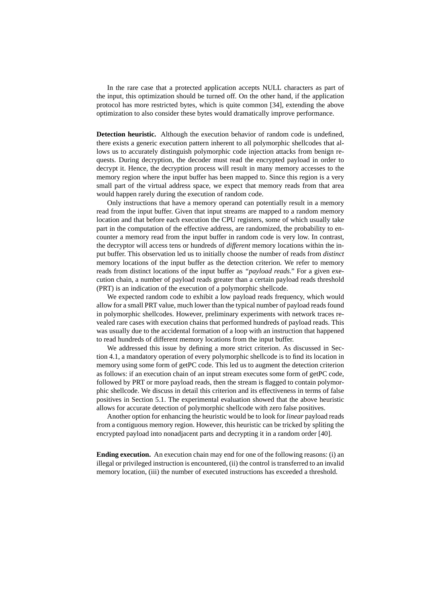In the rare case that a protected application accepts NULL characters as part of the input, this optimization should be turned off. On the other hand, if the application protocol has more restricted bytes, which is quite common [34], extending the above optimization to also consider these bytes would dramatically improve performance.

**Detection heuristic.** Although the execution behavior of random code is undefined, there exists a generic execution pattern inherent to all polymorphic shellcodes that allows us to accurately distinguish polymorphic code injection attacks from benign requests. During decryption, the decoder must read the encrypted payload in order to decrypt it. Hence, the decryption process will result in many memory accesses to the memory region where the input buffer has been mapped to. Since this region is a very small part of the virtual address space, we expect that memory reads from that area would happen rarely during the execution of random code.

Only instructions that have a memory operand can potentially result in a memory read from the input buffer. Given that input streams are mapped to a random memory location and that before each execution the CPU registers, some of which usually take part in the computation of the effective address, are randomized, the probability to encounter a memory read from the input buffer in random code is very low. In contrast, the decryptor will access tens or hundreds of *different* memory locations within the input buffer. This observation led us to initially choose the number of reads from *distinct* memory locations of the input buffer as the detection criterion. We refer to memory reads from distinct locations of the input buffer as *"payload reads."* For a given execution chain, a number of payload reads greater than a certain payload reads threshold (PRT) is an indication of the execution of a polymorphic shellcode.

We expected random code to exhibit a low payload reads frequency, which would allow for a small PRT value, much lower than the typical number of payload reads found in polymorphic shellcodes. However, preliminary experiments with network traces revealed rare cases with execution chains that performed hundreds of payload reads. This was usually due to the accidental formation of a loop with an instruction that happened to read hundreds of different memory locations from the input buffer.

We addressed this issue by defining a more strict criterion. As discussed in Section 4.1, a mandatory operation of every polymorphic shellcode is to find its location in memory using some form of getPC code. This led us to augment the detection criterion as follows: if an execution chain of an input stream executes some form of getPC code, followed by PRT or more payload reads, then the stream is flagged to contain polymorphic shellcode. We discuss in detail this criterion and its effectiveness in terms of false positives in Section 5.1. The experimental evaluation showed that the above heuristic allows for accurate detection of polymorphic shellcode with zero false positives.

Another option for enhancing the heuristic would be to look for *linear* payload reads from a contiguous memory region. However, this heuristic can be tricked by spliting the encrypted payload into nonadjacent parts and decrypting it in a random order [40].

**Ending execution.** An execution chain may end for one of the following reasons: (i) an illegal or privileged instruction is encountered, (ii) the control is transferred to an invalid memory location, (iii) the number of executed instructions has exceeded a threshold.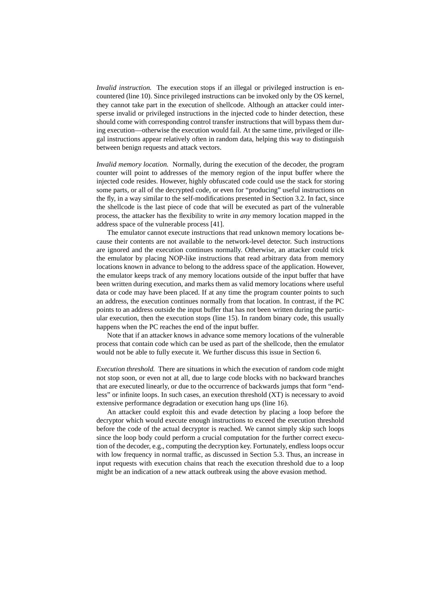*Invalid instruction.* The execution stops if an illegal or privileged instruction is encountered (line 10). Since privileged instructions can be invoked only by the OS kernel, they cannot take part in the execution of shellcode. Although an attacker could intersperse invalid or privileged instructions in the injected code to hinder detection, these should come with corresponding control transfer instructions that will bypass them during execution—otherwise the execution would fail. At the same time, privileged or illegal instructions appear relatively often in random data, helping this way to distinguish between benign requests and attack vectors.

*Invalid memory location.* Normally, during the execution of the decoder, the program counter will point to addresses of the memory region of the input buffer where the injected code resides. However, highly obfuscated code could use the stack for storing some parts, or all of the decrypted code, or even for "producing" useful instructions on the fly, in a way similar to the self-modifications presented in Section 3.2. In fact, since the shellcode is the last piece of code that will be executed as part of the vulnerable process, the attacker has the flexibility to write in *any* memory location mapped in the address space of the vulnerable process [41].

The emulator cannot execute instructions that read unknown memory locations because their contents are not available to the network-level detector. Such instructions are ignored and the execution continues normally. Otherwise, an attacker could trick the emulator by placing NOP-like instructions that read arbitrary data from memory locations known in advance to belong to the address space of the application. However, the emulator keeps track of any memory locations outside of the input buffer that have been written during execution, and marks them as valid memory locations where useful data or code may have been placed. If at any time the program counter points to such an address, the execution continues normally from that location. In contrast, if the PC points to an address outside the input buffer that has not been written during the particular execution, then the execution stops (line 15). In random binary code, this usually happens when the PC reaches the end of the input buffer.

Note that if an attacker knows in advance some memory locations of the vulnerable process that contain code which can be used as part of the shellcode, then the emulator would not be able to fully execute it. We further discuss this issue in Section 6.

*Execution threshold.* There are situations in which the execution of random code might not stop soon, or even not at all, due to large code blocks with no backward branches that are executed linearly, or due to the occurrence of backwards jumps that form "endless" or infinite loops. In such cases, an execution threshold (XT) is necessary to avoid extensive performance degradation or execution hang ups (line 16).

An attacker could exploit this and evade detection by placing a loop before the decryptor which would execute enough instructions to exceed the execution threshold before the code of the actual decryptor is reached. We cannot simply skip such loops since the loop body could perform a crucial computation for the further correct execution of the decoder, e.g., computing the decryption key. Fortunately, endless loops occur with low frequency in normal traffic, as discussed in Section 5.3. Thus, an increase in input requests with execution chains that reach the execution threshold due to a loop might be an indication of a new attack outbreak using the above evasion method.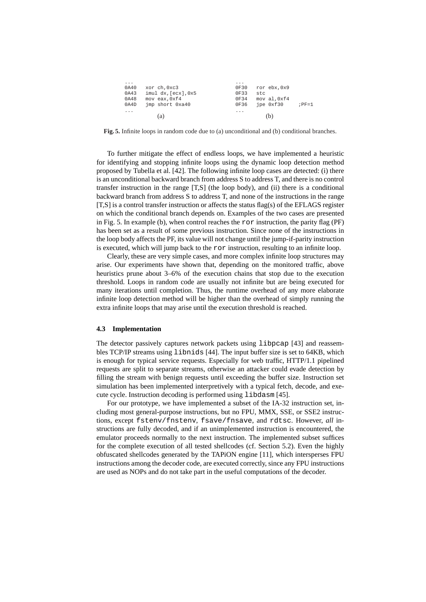| $\cdots$ |                     | .    |             |            |
|----------|---------------------|------|-------------|------------|
| 0A40     | xor ch, 0xc3        | 0F30 | ror ebx.0x9 |            |
| 0A43     | imul dx, [ecx], 0x5 | 0F33 | st.c        |            |
| 0A48     | mov eax, 0xf4       | 0F34 | mov al.0xf4 |            |
| 0A4D     | imp short 0xa40     | 0F36 | jpe 0xf30   | $;$ $PF=1$ |
| .        |                     | .    |             |            |
|          | (a)                 |      | (b)         |            |

**Fig. 5.** Infinite loops in random code due to (a) unconditional and (b) conditional branches.

To further mitigate the effect of endless loops, we have implemented a heuristic for identifying and stopping infinite loops using the dynamic loop detection method proposed by Tubella et al. [42]. The following infinite loop cases are detected: (i) there is an unconditional backward branch from address S to address T, and there is no control transfer instruction in the range [T,S] (the loop body), and (ii) there is a conditional backward branch from address S to address T, and none of the instructions in the range [T,S] is a control transfer instruction or affects the status flag(s) of the EFLAGS register on which the conditional branch depends on. Examples of the two cases are presented in Fig. 5. In example (b), when control reaches the ror instruction, the parity flag (PF) has been set as a result of some previous instruction. Since none of the instructions in the loop body affects the PF, its value will not change until the jump-if-parity instruction is executed, which will jump back to the ror instruction, resulting to an infinite loop.

Clearly, these are very simple cases, and more complex infinite loop structures may arise. Our experiments have shown that, depending on the monitored traffic, above heuristics prune about 3–6% of the execution chains that stop due to the execution threshold. Loops in random code are usually not infinite but are being executed for many iterations until completion. Thus, the runtime overhead of any more elaborate infinite loop detection method will be higher than the overhead of simply running the extra infinite loops that may arise until the execution threshold is reached.

#### **4.3 Implementation**

The detector passively captures network packets using libpcap [43] and reassembles TCP/IP streams using libnids [44]. The input buffer size is set to 64KB, which is enough for typical service requests. Especially for web traffic, HTTP/1.1 pipelined requests are split to separate streams, otherwise an attacker could evade detection by filling the stream with benign requests until exceeding the buffer size. Instruction set simulation has been implemented interpretively with a typical fetch, decode, and execute cycle. Instruction decoding is performed using libdasm [45].

For our prototype, we have implemented a subset of the IA-32 instruction set, including most general-purpose instructions, but no FPU, MMX, SSE, or SSE2 instructions, except fstenv/fnstenv, fsave/fnsave, and rdtsc. However, *all* instructions are fully decoded, and if an unimplemented instruction is encountered, the emulator proceeds normally to the next instruction. The implemented subset suffices for the complete execution of all tested shellcodes (cf. Section 5.2). Even the highly obfuscated shellcodes generated by the TAPiON engine [11], which intersperses FPU instructions among the decoder code, are executed correctly, since any FPU instructions are used as NOPs and do not take part in the useful computations of the decoder.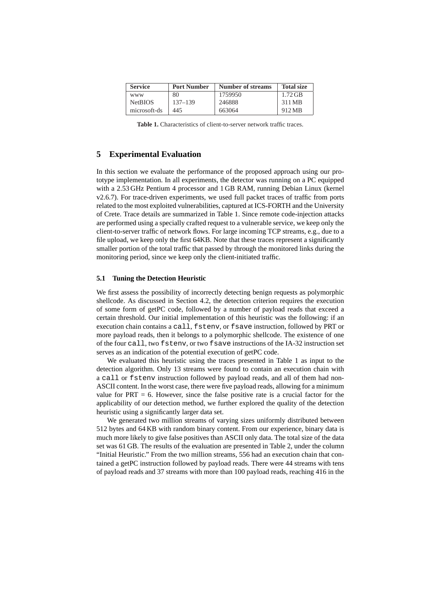| <b>Service</b> | <b>Port Number</b> | <b>Number of streams</b> | <b>Total size</b> |
|----------------|--------------------|--------------------------|-------------------|
| www            | 80                 | 1759950                  | $1.72 \text{ GB}$ |
| <b>NetBIOS</b> | $137 - 139$        | 246888                   | 311 MB            |
| microsoft-ds   | 445                | 663064                   | 912 MB            |

**Table 1.** Characteristics of client-to-server network traffic traces.

# **5 Experimental Evaluation**

In this section we evaluate the performance of the proposed approach using our prototype implementation. In all experiments, the detector was running on a PC equipped with a 2.53 GHz Pentium 4 processor and 1 GB RAM, running Debian Linux (kernel v2.6.7). For trace-driven experiments, we used full packet traces of traffic from ports related to the most exploited vulnerabilities, captured at ICS-FORTH and the University of Crete. Trace details are summarized in Table 1. Since remote code-injection attacks are performed using a specially crafted request to a vulnerable service, we keep only the client-to-server traffic of network flows. For large incoming TCP streams, e.g., due to a file upload, we keep only the first 64KB. Note that these traces represent a significantly smaller portion of the total traffic that passed by through the monitored links during the monitoring period, since we keep only the client-initiated traffic.

#### **5.1 Tuning the Detection Heuristic**

We first assess the possibility of incorrectly detecting benign requests as polymorphic shellcode. As discussed in Section 4.2, the detection criterion requires the execution of some form of getPC code, followed by a number of payload reads that exceed a certain threshold. Our initial implementation of this heuristic was the following: if an execution chain contains a call, fstenv, or fsave instruction, followed by PRT or more payload reads, then it belongs to a polymorphic shellcode. The existence of one of the four call, two fstenv, or two fsave instructions of the IA-32 instruction set serves as an indication of the potential execution of getPC code.

We evaluated this heuristic using the traces presented in Table 1 as input to the detection algorithm. Only 13 streams were found to contain an execution chain with a call or fstenv instruction followed by payload reads, and all of them had non-ASCII content. In the worst case, there were five payload reads, allowing for a minimum value for  $PRT = 6$ . However, since the false positive rate is a crucial factor for the applicability of our detection method, we further explored the quality of the detection heuristic using a significantly larger data set.

We generated two million streams of varying sizes uniformly distributed between 512 bytes and 64 KB with random binary content. From our experience, binary data is much more likely to give false positives than ASCII only data. The total size of the data set was 61 GB. The results of the evaluation are presented in Table 2, under the column "Initial Heuristic." From the two million streams, 556 had an execution chain that contained a getPC instruction followed by payload reads. There were 44 streams with tens of payload reads and 37 streams with more than 100 payload reads, reaching 416 in the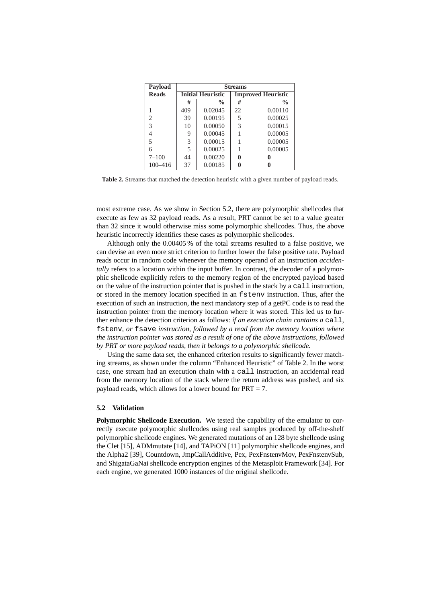| Payload        | <b>Streams</b>           |               |                           |               |
|----------------|--------------------------|---------------|---------------------------|---------------|
| <b>Reads</b>   | <b>Initial Heuristic</b> |               | <b>Improved Heuristic</b> |               |
|                | #                        | $\frac{0}{0}$ | #                         | $\frac{0}{0}$ |
|                | 409                      | 0.02045       | 22                        | 0.00110       |
| $\mathfrak{D}$ | 39                       | 0.00195       | 5                         | 0.00025       |
| 3              | 10                       | 0.00050       | 3                         | 0.00015       |
|                | 9                        | 0.00045       |                           | 0.00005       |
| 5              | 3                        | 0.00015       |                           | 0.00005       |
| 6              | 5                        | 0.00025       |                           | 0.00005       |
| $7 - 100$      | 44                       | 0.00220       |                           |               |
| $100 - 416$    | 37                       | 0.00185       |                           |               |

Table 2. Streams that matched the detection heuristic with a given number of payload reads.

most extreme case. As we show in Section 5.2, there are polymorphic shellcodes that execute as few as 32 payload reads. As a result, PRT cannot be set to a value greater than 32 since it would otherwise miss some polymorphic shellcodes. Thus, the above heuristic incorrectly identifies these cases as polymorphic shellcodes.

Although only the 0.00405 % of the total streams resulted to a false positive, we can devise an even more strict criterion to further lower the false positive rate. Payload reads occur in random code whenever the memory operand of an instruction *accidentally* refers to a location within the input buffer. In contrast, the decoder of a polymorphic shellcode explicitly refers to the memory region of the encrypted payload based on the value of the instruction pointer that is pushed in the stack by a call instruction, or stored in the memory location specified in an fstenv instruction. Thus, after the execution of such an instruction, the next mandatory step of a getPC code is to read the instruction pointer from the memory location where it was stored. This led us to further enhance the detection criterion as follows: *if an execution chain contains a* call*,* fstenv*, or* fsave *instruction, followed by a read from the memory location where the instruction pointer was stored as a result of one of the above instructions, followed by PRT or more payload reads, then it belongs to a polymorphic shellcode.*

Using the same data set, the enhanced criterion results to significantly fewer matching streams, as shown under the column "Enhanced Heuristic" of Table 2. In the worst case, one stream had an execution chain with a call instruction, an accidental read from the memory location of the stack where the return address was pushed, and six payload reads, which allows for a lower bound for  $PRT = 7$ .

#### **5.2 Validation**

**Polymorphic Shellcode Execution.** We tested the capability of the emulator to correctly execute polymorphic shellcodes using real samples produced by off-the-shelf polymorphic shellcode engines. We generated mutations of an 128 byte shellcode using the Clet [15], ADMmutate [14], and TAPiON [11] polymorphic shellcode engines, and the Alpha2 [39], Countdown, JmpCallAdditive, Pex, PexFnstenvMov, PexFnstenvSub, and ShigataGaNai shellcode encryption engines of the Metasploit Framework [34]. For each engine, we generated 1000 instances of the original shellcode.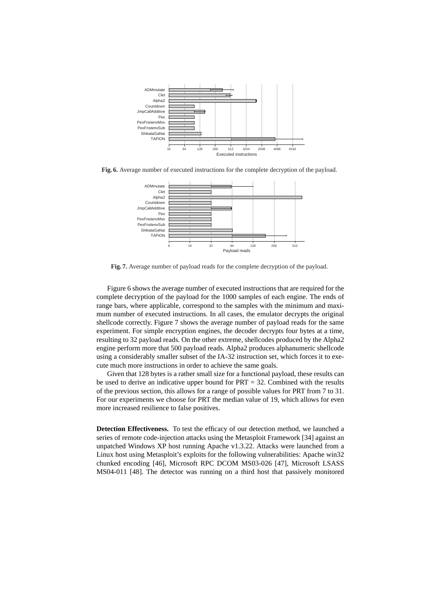

**Fig. 6.** Average number of executed instructions for the complete decryption of the payload.



**Fig. 7.** Average number of payload reads for the complete decryption of the payload.

Figure 6 shows the average number of executed instructions that are required for the complete decryption of the payload for the 1000 samples of each engine. The ends of range bars, where applicable, correspond to the samples with the minimum and maximum number of executed instructions. In all cases, the emulator decrypts the original shellcode correctly. Figure 7 shows the average number of payload reads for the same experiment. For simple encryption engines, the decoder decrypts four bytes at a time, resulting to 32 payload reads. On the other extreme, shellcodes produced by the Alpha2 engine perform more that 500 payload reads. Alpha2 produces alphanumeric shellcode using a considerably smaller subset of the IA-32 instruction set, which forces it to execute much more instructions in order to achieve the same goals.

Given that 128 bytes is a rather small size for a functional payload, these results can be used to derive an indicative upper bound for PRT = 32. Combined with the results of the previous section, this allows for a range of possible values for PRT from 7 to 31. For our experiments we choose for PRT the median value of 19, which allows for even more increased resilience to false positives.

**Detection Effectiveness.** To test the efficacy of our detection method, we launched a series of remote code-injection attacks using the Metasploit Framework [34] against an unpatched Windows XP host running Apache v1.3.22. Attacks were launched from a Linux host using Metasploit's exploits for the following vulnerabilities: Apache win32 chunked encoding [46], Microsoft RPC DCOM MS03-026 [47], Microsoft LSASS MS04-011 [48]. The detector was running on a third host that passively monitored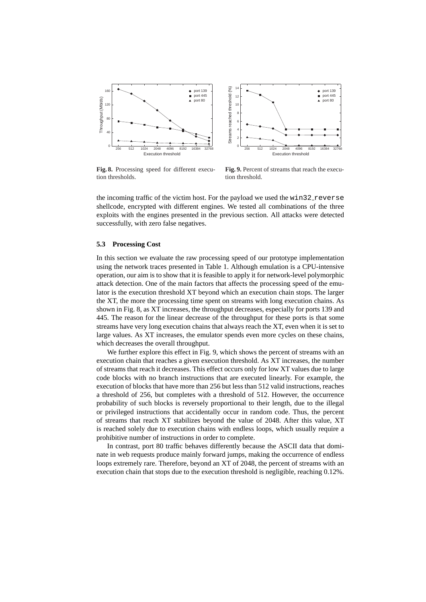

Streams reached threshold (%) Streams reached threshold (%) 14  $\bullet \quad port \quad 139$   $\bullet \quad port \quad 445$ port 445 12 port 80 Ă  $10$ 8 6 4 2 0 256 512 1024 2048 4096 8192 16384 32768 Execution threshold

**Fig. 8.** Processing speed for different execution thresholds.

**Fig. 9.** Percent of streams that reach the execution threshold.

the incoming traffic of the victim host. For the payload we used the win32 reverse shellcode, encrypted with different engines. We tested all combinations of the three exploits with the engines presented in the previous section. All attacks were detected successfully, with zero false negatives.

#### **5.3 Processing Cost**

In this section we evaluate the raw processing speed of our prototype implementation using the network traces presented in Table 1. Although emulation is a CPU-intensive operation, our aim is to show that it is feasible to apply it for network-level polymorphic attack detection. One of the main factors that affects the processing speed of the emulator is the execution threshold XT beyond which an execution chain stops. The larger the XT, the more the processing time spent on streams with long execution chains. As shown in Fig. 8, as XT increases, the throughput decreases, especially for ports 139 and 445. The reason for the linear decrease of the throughput for these ports is that some streams have very long execution chains that always reach the XT, even when it is set to large values. As XT increases, the emulator spends even more cycles on these chains, which decreases the overall throughput.

We further explore this effect in Fig. 9, which shows the percent of streams with an execution chain that reaches a given execution threshold. As XT increases, the number of streams that reach it decreases. This effect occurs only for low XT values due to large code blocks with no branch instructions that are executed linearly. For example, the execution of blocks that have more than 256 but less than 512 valid instructions, reaches a threshold of 256, but completes with a threshold of 512. However, the occurrence probability of such blocks is reversely proportional to their length, due to the illegal or privileged instructions that accidentally occur in random code. Thus, the percent of streams that reach XT stabilizes beyond the value of 2048. After this value, XT is reached solely due to execution chains with endless loops, which usually require a prohibitive number of instructions in order to complete.

In contrast, port 80 traffic behaves differently because the ASCII data that dominate in web requests produce mainly forward jumps, making the occurrence of endless loops extremely rare. Therefore, beyond an XT of 2048, the percent of streams with an execution chain that stops due to the execution threshold is negligible, reaching 0.12%.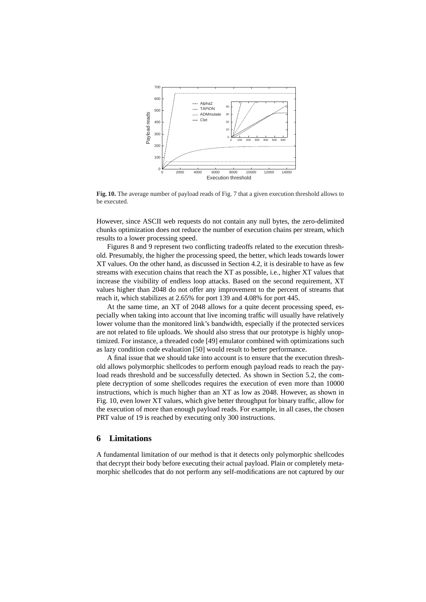

**Fig. 10.** The average number of payload reads of Fig. 7 that a given execution threshold allows to be executed.

However, since ASCII web requests do not contain any null bytes, the zero-delimited chunks optimization does not reduce the number of execution chains per stream, which results to a lower processing speed.

Figures 8 and 9 represent two conflicting tradeoffs related to the execution threshold. Presumably, the higher the processing speed, the better, which leads towards lower XT values. On the other hand, as discussed in Section 4.2, it is desirable to have as few streams with execution chains that reach the XT as possible, i.e., higher XT values that increase the visibility of endless loop attacks. Based on the second requirement, XT values higher than 2048 do not offer any improvement to the percent of streams that reach it, which stabilizes at 2.65% for port 139 and 4.08% for port 445.

At the same time, an XT of 2048 allows for a quite decent processing speed, especially when taking into account that live incoming traffic will usually have relatively lower volume than the monitored link's bandwidth, especially if the protected services are not related to file uploads. We should also stress that our prototype is highly unoptimized. For instance, a threaded code [49] emulator combined with optimizations such as lazy condition code evaluation [50] would result to better performance.

A final issue that we should take into account is to ensure that the execution threshold allows polymorphic shellcodes to perform enough payload reads to reach the payload reads threshold and be successfully detected. As shown in Section 5.2, the complete decryption of some shellcodes requires the execution of even more than 10000 instructions, which is much higher than an XT as low as 2048. However, as shown in Fig. 10, even lower XT values, which give better throughput for binary traffic, allow for the execution of more than enough payload reads. For example, in all cases, the chosen PRT value of 19 is reached by executing only 300 instructions.

# **6 Limitations**

A fundamental limitation of our method is that it detects only polymorphic shellcodes that decrypt their body before executing their actual payload. Plain or completely metamorphic shellcodes that do not perform any self-modifications are not captured by our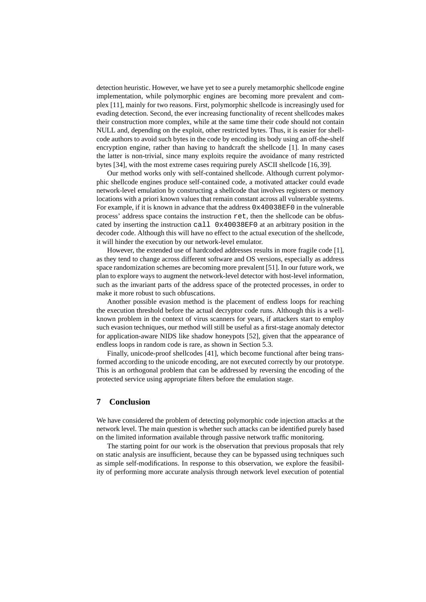detection heuristic. However, we have yet to see a purely metamorphic shellcode engine implementation, while polymorphic engines are becoming more prevalent and complex [11], mainly for two reasons. First, polymorphic shellcode is increasingly used for evading detection. Second, the ever increasing functionality of recent shellcodes makes their construction more complex, while at the same time their code should not contain NULL and, depending on the exploit, other restricted bytes. Thus, it is easier for shellcode authors to avoid such bytes in the code by encoding its body using an off-the-shelf encryption engine, rather than having to handcraft the shellcode [1]. In many cases the latter is non-trivial, since many exploits require the avoidance of many restricted bytes [34], with the most extreme cases requiring purely ASCII shellcode [16, 39].

Our method works only with self-contained shellcode. Although current polymorphic shellcode engines produce self-contained code, a motivated attacker could evade network-level emulation by constructing a shellcode that involves registers or memory locations with a priori known values that remain constant across all vulnerable systems. For example, if it is known in advance that the address  $0 \times 40038E$ F<sub>0</sub> in the vulnerable process' address space contains the instruction ret, then the shellcode can be obfuscated by inserting the instruction call  $0 \times 40038E$ F0 at an arbitrary position in the decoder code. Although this will have no effect to the actual execution of the shellcode, it will hinder the execution by our network-level emulator.

However, the extended use of hardcoded addresses results in more fragile code [1], as they tend to change across different software and OS versions, especially as address space randomization schemes are becoming more prevalent [51]. In our future work, we plan to explore ways to augment the network-level detector with host-level information, such as the invariant parts of the address space of the protected processes, in order to make it more robust to such obfuscations.

Another possible evasion method is the placement of endless loops for reaching the execution threshold before the actual decryptor code runs. Although this is a wellknown problem in the context of virus scanners for years, if attackers start to employ such evasion techniques, our method will still be useful as a first-stage anomaly detector for application-aware NIDS like shadow honeypots [52], given that the appearance of endless loops in random code is rare, as shown in Section 5.3.

Finally, unicode-proof shellcodes [41], which become functional after being transformed according to the unicode encoding, are not executed correctly by our prototype. This is an orthogonal problem that can be addressed by reversing the encoding of the protected service using appropriate filters before the emulation stage.

# **7 Conclusion**

We have considered the problem of detecting polymorphic code injection attacks at the network level. The main question is whether such attacks can be identified purely based on the limited information available through passive network traffic monitoring.

The starting point for our work is the observation that previous proposals that rely on static analysis are insufficient, because they can be bypassed using techniques such as simple self-modifications. In response to this observation, we explore the feasibility of performing more accurate analysis through network level execution of potential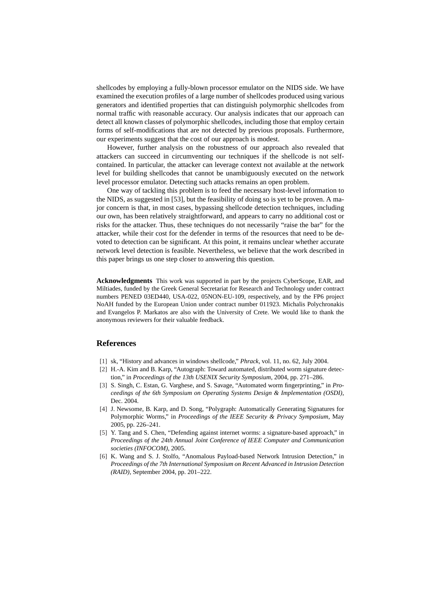shellcodes by employing a fully-blown processor emulator on the NIDS side. We have examined the execution profiles of a large number of shellcodes produced using various generators and identified properties that can distinguish polymorphic shellcodes from normal traffic with reasonable accuracy. Our analysis indicates that our approach can detect all known classes of polymorphic shellcodes, including those that employ certain forms of self-modifications that are not detected by previous proposals. Furthermore, our experiments suggest that the cost of our approach is modest.

However, further analysis on the robustness of our approach also revealed that attackers can succeed in circumventing our techniques if the shellcode is not selfcontained. In particular, the attacker can leverage context not available at the network level for building shellcodes that cannot be unambiguously executed on the network level processor emulator. Detecting such attacks remains an open problem.

One way of tackling this problem is to feed the necessary host-level information to the NIDS, as suggested in [53], but the feasibility of doing so is yet to be proven. A major concern is that, in most cases, bypassing shellcode detection techniques, including our own, has been relatively straightforward, and appears to carry no additional cost or risks for the attacker. Thus, these techniques do not necessarily "raise the bar" for the attacker, while their cost for the defender in terms of the resources that need to be devoted to detection can be significant. At this point, it remains unclear whether accurate network level detection is feasible. Nevertheless, we believe that the work described in this paper brings us one step closer to answering this question.

**Acknowledgments** This work was supported in part by the projects CyberScope, EAR, and Miltiades, funded by the Greek General Secretariat for Research and Technology under contract numbers PENED 03ED440, USA-022, 05NON-EU-109, respectively, and by the FP6 project NoAH funded by the European Union under contract number 011923. Michalis Polychronakis and Evangelos P. Markatos are also with the University of Crete. We would like to thank the anonymous reviewers for their valuable feedback.

### **References**

- [1] sk, "History and advances in windows shellcode," *Phrack*, vol. 11, no. 62, July 2004.
- [2] H.-A. Kim and B. Karp, "Autograph: Toward automated, distributed worm signature detection," in *Proceedings of the 13th USENIX Security Symposium*, 2004, pp. 271–286.
- [3] S. Singh, C. Estan, G. Varghese, and S. Savage, "Automated worm fingerprinting," in *Proceedings of the 6th Symposium on Operating Systems Design & Implementation (OSDI)*, Dec. 2004.
- [4] J. Newsome, B. Karp, and D. Song, "Polygraph: Automatically Generating Signatures for Polymorphic Worms," in *Proceedings of the IEEE Security & Privacy Symposium*, May 2005, pp. 226–241.
- [5] Y. Tang and S. Chen, "Defending against internet worms: a signature-based approach," in *Proceedings of the 24th Annual Joint Conference of IEEE Computer and Communication societies (INFOCOM)*, 2005.
- [6] K. Wang and S. J. Stolfo, "Anomalous Payload-based Network Intrusion Detection," in *Proceedings of the 7th International Symposium on Recent Advanced in Intrusion Detection (RAID)*, September 2004, pp. 201–222.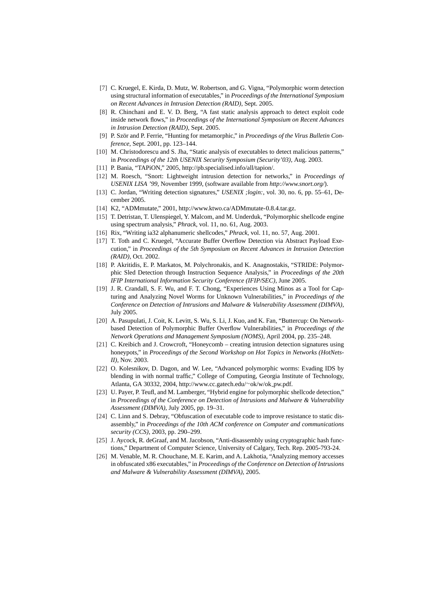- [7] C. Kruegel, E. Kirda, D. Mutz, W. Robertson, and G. Vigna, "Polymorphic worm detection using structural information of executables," in *Proceedings of the International Symposium on Recent Advances in Intrusion Detection (RAID)*, Sept. 2005.
- [8] R. Chinchani and E. V. D. Berg, "A fast static analysis approach to detect exploit code inside network flows," in *Proceedings of the International Symposium on Recent Advances in Intrusion Detection (RAID)*, Sept. 2005.
- [9] P. Ször and P. Ferrie, "Hunting for metamorphic," in Proceedings of the Virus Bulletin Con*ference*, Sept. 2001, pp. 123–144.
- [10] M. Christodorescu and S. Jha, "Static analysis of executables to detect malicious patterns," in *Proceedings of the 12th USENIX Security Symposium (Security'03)*, Aug. 2003.
- [11] P. Bania, "TAPiON," 2005, http://pb.specialised.info/all/tapion/.
- [12] M. Roesch, "Snort: Lightweight intrusion detection for networks," in *Proceedings of USENIX LISA '99*, November 1999, (software available from *http://www.snort.org/*).
- [13] C. Jordan, "Writing detection signatures," *USENIX ;login:*, vol. 30, no. 6, pp. 55–61, December 2005.
- [14] K2, "ADMmutate," 2001, http://www.ktwo.ca/ADMmutate-0.8.4.tar.gz.
- [15] T. Detristan, T. Ulenspiegel, Y. Malcom, and M. Underduk, "Polymorphic shellcode engine using spectrum analysis," *Phrack*, vol. 11, no. 61, Aug. 2003.
- [16] Rix, "Writing ia32 alphanumeric shellcodes," *Phrack*, vol. 11, no. 57, Aug. 2001.
- [17] T. Toth and C. Kruegel, "Accurate Buffer Overflow Detection via Abstract Payload Execution," in *Proceedings of the 5th Symposium on Recent Advances in Intrusion Detection (RAID)*, Oct. 2002.
- [18] P. Akritidis, E. P. Markatos, M. Polychronakis, and K. Anagnostakis, "STRIDE: Polymorphic Sled Detection through Instruction Sequence Analysis," in *Proceedings of the 20th IFIP International Information Security Conference (IFIP/SEC)*, June 2005.
- [19] J. R. Crandall, S. F. Wu, and F. T. Chong, "Experiences Using Minos as a Tool for Capturing and Analyzing Novel Worms for Unknown Vulnerabilities," in *Proceedings of the Conference on Detection of Intrusions and Malware & Vulnerability Assessment (DIMVA)*, July 2005.
- [20] A. Pasupulati, J. Coit, K. Levitt, S. Wu, S. Li, J. Kuo, and K. Fan, "Buttercup: On Networkbased Detection of Polymorphic Buffer Overflow Vulnerabilities," in *Proceedings of the Network Operations and Management Symposium (NOMS)*, April 2004, pp. 235–248.
- [21] C. Kreibich and J. Crowcroft, "Honeycomb creating intrusion detection signatures using honeypots," in *Proceedings of the Second Workshop on Hot Topics in Networks (HotNets-II)*, Nov. 2003.
- [22] O. Kolesnikov, D. Dagon, and W. Lee, "Advanced polymorphic worms: Evading IDS by blending in with normal traffic," College of Computing, Georgia Institute of Technology, Atlanta, GA 30332, 2004, http://www.cc.gatech.edu/<sup>∼</sup>ok/w/ok pw.pdf.
- [23] U. Payer, P. Teufl, and M. Lamberger, "Hybrid engine for polymorphic shellcode detection," in *Proceedings of the Conference on Detection of Intrusions and Malware & Vulnerability Assessment (DIMVA)*, July 2005, pp. 19–31.
- [24] C. Linn and S. Debray, "Obfuscation of executable code to improve resistance to static disassembly," in *Proceedings of the 10th ACM conference on Computer and communications security (CCS)*, 2003, pp. 290–299.
- [25] J. Aycock, R. deGraaf, and M. Jacobson, "Anti-disassembly using cryptographic hash functions," Department of Computer Science, University of Calgary, Tech. Rep. 2005-793-24.
- [26] M. Venable, M. R. Chouchane, M. E. Karim, and A. Lakhotia, "Analyzing memory accesses in obfuscated x86 executables," in *Proceedings of the Conference on Detection of Intrusions and Malware & Vulnerability Assessment (DIMVA)*, 2005.